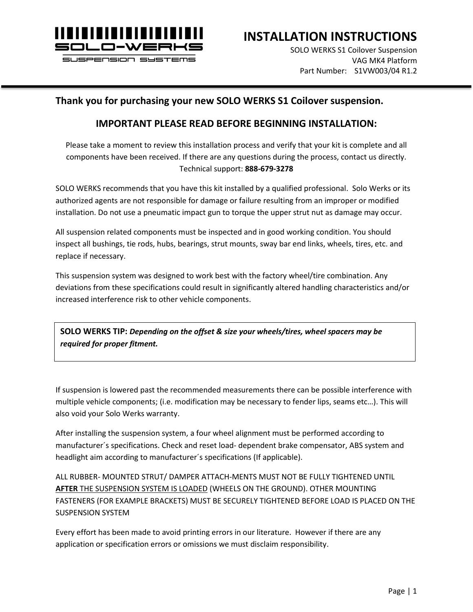

l

**INSTALLATION INSTRUCTIONS**

SOLO WERKS S1 Coilover Suspension VAG MK4 Platform Part Number: S1VW003/04 R1.2

#### **Thank you for purchasing your new SOLO WERKS S1 Coilover suspension.**

#### **IMPORTANT PLEASE READ BEFORE BEGINNING INSTALLATION:**

Please take a moment to review this installation process and verify that your kit is complete and all components have been received. If there are any questions during the process, contact us directly. Technical support: **888-679-3278**

SOLO WERKS recommends that you have this kit installed by a qualified professional. Solo Werks or its authorized agents are not responsible for damage or failure resulting from an improper or modified installation. Do not use a pneumatic impact gun to torque the upper strut nut as damage may occur.

All suspension related components must be inspected and in good working condition. You should inspect all bushings, tie rods, hubs, bearings, strut mounts, sway bar end links, wheels, tires, etc. and replace if necessary.

This suspension system was designed to work best with the factory wheel/tire combination. Any deviations from these specifications could result in significantly altered handling characteristics and/or increased interference risk to other vehicle components.

**SOLO WERKS TIP:** *Depending on the offset & size your wheels/tires, wheel spacers may be required for proper fitment.*

If suspension is lowered past the recommended measurements there can be possible interference with multiple vehicle components; (i.e. modification may be necessary to fender lips, seams etc…). This will also void your Solo Werks warranty.

After installing the suspension system, a four wheel alignment must be performed according to manufacturer´s specifications. Check and reset load- dependent brake compensator, ABS system and headlight aim according to manufacturer´s specifications (If applicable).

ALL RUBBER- MOUNTED STRUT/ DAMPER ATTACH-MENTS MUST NOT BE FULLY TIGHTENED UNTIL **AFTER** THE SUSPENSION SYSTEM IS LOADED (WHEELS ON THE GROUND). OTHER MOUNTING FASTENERS (FOR EXAMPLE BRACKETS) MUST BE SECURELY TIGHTENED BEFORE LOAD IS PLACED ON THE SUSPENSION SYSTEM

Every effort has been made to avoid printing errors in our literature. However if there are any application or specification errors or omissions we must disclaim responsibility.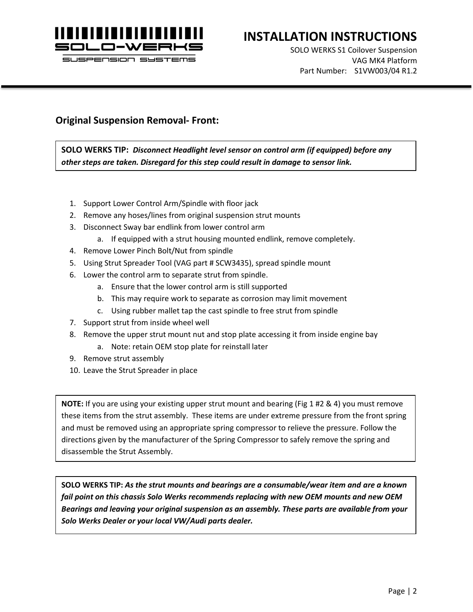

l

# **INSTALLATION INSTRUCTIONS**

SOLO WERKS S1 Coilover Suspension VAG MK4 Platform Part Number: S1VW003/04 R1.2

#### **Original Suspension Removal- Front:**

**SOLO WERKS TIP:** *Disconnect Headlight level sensor on control arm (if equipped) before any other steps are taken. Disregard for this step could result in damage to sensor link.*

- 1. Support Lower Control Arm/Spindle with floor jack
- 2. Remove any hoses/lines from original suspension strut mounts
- 3. Disconnect Sway bar endlink from lower control arm
	- a. If equipped with a strut housing mounted endlink, remove completely.
- 4. Remove Lower Pinch Bolt/Nut from spindle
- 5. Using Strut Spreader Tool (VAG part # SCW3435), spread spindle mount
- 6. Lower the control arm to separate strut from spindle.
	- a. Ensure that the lower control arm is still supported
	- b. This may require work to separate as corrosion may limit movement
	- c. Using rubber mallet tap the cast spindle to free strut from spindle
- 7. Support strut from inside wheel well
- 8. Remove the upper strut mount nut and stop plate accessing it from inside engine bay
	- a. Note: retain OEM stop plate for reinstall later
- 9. Remove strut assembly
- 10. Leave the Strut Spreader in place

**NOTE:** If you are using your existing upper strut mount and bearing (Fig 1 #2 & 4) you must remove these items from the strut assembly. These items are under extreme pressure from the front spring and must be removed using an appropriate spring compressor to relieve the pressure. Follow the directions given by the manufacturer of the Spring Compressor to safely remove the spring and disassemble the Strut Assembly.

**SOLO WERKS TIP:** *As the strut mounts and bearings are a consumable/wear item and are a known fail point on this chassis Solo Werks recommends replacing with new OEM mounts and new OEM Bearings and leaving your original suspension as an assembly. These parts are available from your Solo Werks Dealer or your local VW/Audi parts dealer.*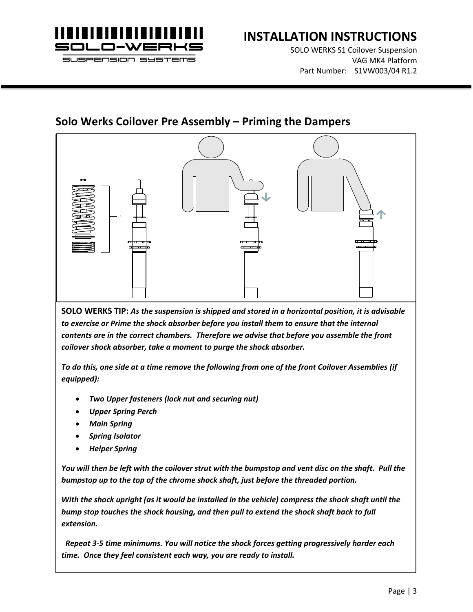

l

# **INSTALLATION INSTRUCTIONS**

SOLO WERKS S1 Coilover Suspension VAG MK4 Platform Part Number: S1VW003/04 R1.2

# **Solo Werks Coilover Pre Assembly – Priming the Dampers**



**SOLO WERKS TIP:** *As the suspension is shipped and stored in a horizontal position, it is advisable to exercise or Prime the shock absorber before you install them to ensure that the internal contents are in the correct chambers. Therefore we advise that before you assemble the front coilover shock absorber, take a moment to purge the shock absorber.* 

*To do this, one side at a time remove the following from one of the front Coilover Assemblies (if equipped):*

- *Two Upper fasteners (lock nut and securing nut)*
- *Upper Spring Perch*
- *Main Spring*
- *Spring Isolator*
- *Helper Spring*

*You will then be left with the coilover strut with the bumpstop and vent disc on the shaft. Pull the bumpstop up to the top of the chrome shock shaft, just before the threaded portion.* 

*With the shock upright (as it would be installed in the vehicle) compress the shock shaft until the bump stop touches the shock housing, and then pull to extend the shock shaft back to full extension.*

 *Repeat 3-5 time minimums. You will notice the shock forces getting progressively harder each time. Once they feel consistent each way, you are ready to install.*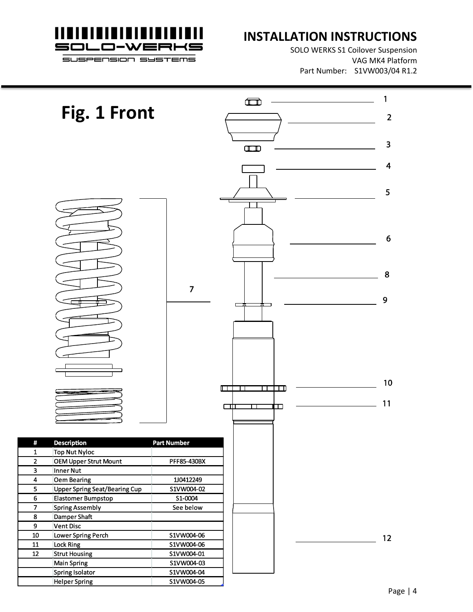

l

#### **INSTALLATION INSTRUCTIONS**

SOLO WERKS S1 Coilover Suspension VAG MK4 Platform Part Number: S1VW003/04 R1.2

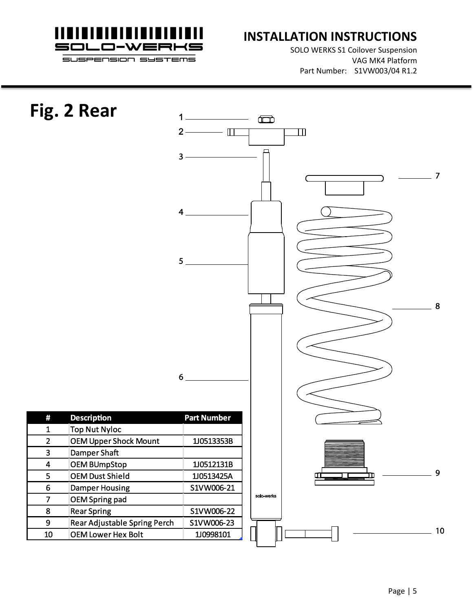

### **INSTALLATION INSTRUCTIONS**

SOLO WERKS S1 Coilover Suspension VAG MK4 Platform Part Number: S1VW003/04 R1.2

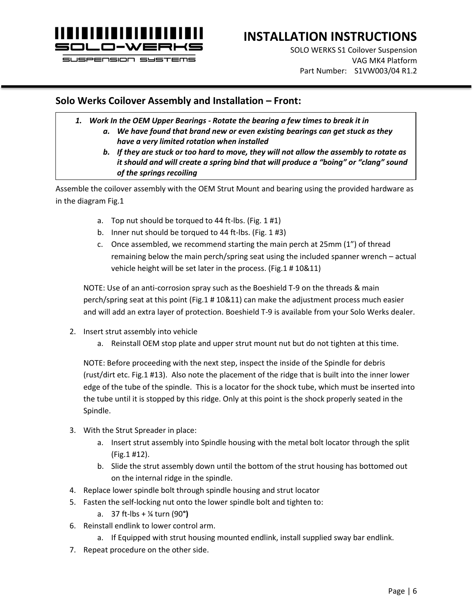

l

# **INSTALLATION INSTRUCTIONS**

SOLO WERKS S1 Coilover Suspension VAG MK4 Platform Part Number: S1VW003/04 R1.2

#### **Solo Werks Coilover Assembly and Installation – Front:**

- *1. Work In the OEM Upper Bearings - Rotate the bearing a few times to break it in*
	- *a. We have found that brand new or even existing bearings can get stuck as they have a very limited rotation when installed*
	- *b. If they are stuck or too hard to move, they will not allow the assembly to rotate as it should and will create a spring bind that will produce a "boing" or "clang" sound of the springs recoiling*

Assemble the coilover assembly with the OEM Strut Mount and bearing using the provided hardware as in the diagram Fig.1

- a. Top nut should be torqued to 44 ft-lbs. (Fig. 1 #1)
- b. Inner nut should be torqued to 44 ft-lbs. (Fig. 1 #3)
- c. Once assembled, we recommend starting the main perch at 25mm (1") of thread remaining below the main perch/spring seat using the included spanner wrench – actual vehicle height will be set later in the process. (Fig.1 # 10&11)

NOTE: Use of an anti-corrosion spray such as the Boeshield T-9 on the threads & main perch/spring seat at this point (Fig.1 # 10&11) can make the adjustment process much easier and will add an extra layer of protection. Boeshield T-9 is available from your Solo Werks dealer.

- 2. Insert strut assembly into vehicle
	- a. Reinstall OEM stop plate and upper strut mount nut but do not tighten at this time.

NOTE: Before proceeding with the next step, inspect the inside of the Spindle for debris (rust/dirt etc. Fig.1 #13). Also note the placement of the ridge that is built into the inner lower edge of the tube of the spindle. This is a locator for the shock tube, which must be inserted into the tube until it is stopped by this ridge. Only at this point is the shock properly seated in the Spindle.

- 3. With the Strut Spreader in place:
	- a. Insert strut assembly into Spindle housing with the metal bolt locator through the split (Fig.1 #12).
	- b. Slide the strut assembly down until the bottom of the strut housing has bottomed out on the internal ridge in the spindle.
- 4. Replace lower spindle bolt through spindle housing and strut locator
- 5. Fasten the self-locking nut onto the lower spindle bolt and tighten to:
	- a. 37 ft-lbs + ¼ turn (90**°)**
- 6. Reinstall endlink to lower control arm.
	- a. If Equipped with strut housing mounted endlink, install supplied sway bar endlink.
- 7. Repeat procedure on the other side.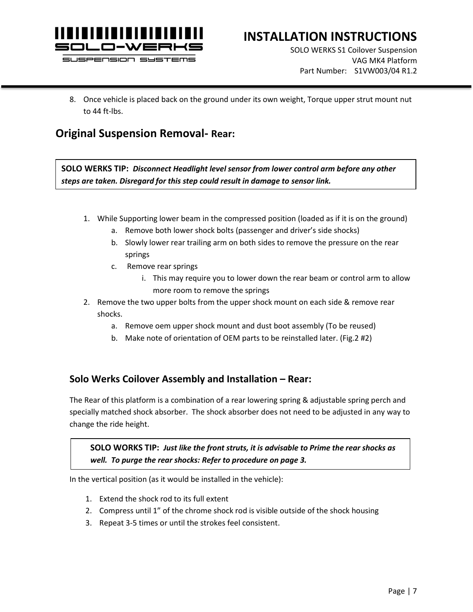

l

# **INSTALLATION INSTRUCTIONS**

SOLO WERKS S1 Coilover Suspension VAG MK4 Platform Part Number: S1VW003/04 R1.2

8. Once vehicle is placed back on the ground under its own weight, Torque upper strut mount nut to 44 ft-lbs.

#### **Original Suspension Removal- Rear:**

**SOLO WERKS TIP:** *Disconnect Headlight level sensor from lower control arm before any other steps are taken. Disregard for this step could result in damage to sensor link.*

- 1. While Supporting lower beam in the compressed position (loaded as if it is on the ground)
	- a. Remove both lower shock bolts (passenger and driver's side shocks)
	- b. Slowly lower rear trailing arm on both sides to remove the pressure on the rear springs
	- c. Remove rear springs
		- i. This may require you to lower down the rear beam or control arm to allow more room to remove the springs
- 2. Remove the two upper bolts from the upper shock mount on each side & remove rear shocks.
	- a. Remove oem upper shock mount and dust boot assembly (To be reused)
	- b. Make note of orientation of OEM parts to be reinstalled later. (Fig.2 #2)

#### **Solo Werks Coilover Assembly and Installation – Rear:**

The Rear of this platform is a combination of a rear lowering spring & adjustable spring perch and specially matched shock absorber. The shock absorber does not need to be adjusted in any way to change the ride height.

**SOLO WORKS TIP:** *Just like the front struts, it is advisable to Prime the rear shocks as well. To purge the rear shocks: Refer to procedure on page 3.*

In the vertical position (as it would be installed in the vehicle):

- 1. Extend the shock rod to its full extent
- 2. Compress until 1" of the chrome shock rod is visible outside of the shock housing
- 3. Repeat 3-5 times or until the strokes feel consistent.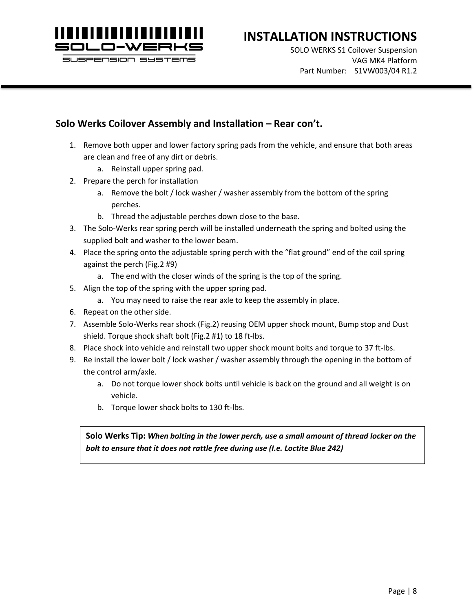

l

# **INSTALLATION INSTRUCTIONS**

SOLO WERKS S1 Coilover Suspension VAG MK4 Platform Part Number: S1VW003/04 R1.2

#### **Solo Werks Coilover Assembly and Installation – Rear con't.**

- 1. Remove both upper and lower factory spring pads from the vehicle, and ensure that both areas are clean and free of any dirt or debris.
	- a. Reinstall upper spring pad.
- 2. Prepare the perch for installation
	- a. Remove the bolt / lock washer / washer assembly from the bottom of the spring perches.
	- b. Thread the adjustable perches down close to the base.
- 3. The Solo-Werks rear spring perch will be installed underneath the spring and bolted using the supplied bolt and washer to the lower beam.
- 4. Place the spring onto the adjustable spring perch with the "flat ground" end of the coil spring against the perch (Fig.2 #9)
	- a. The end with the closer winds of the spring is the top of the spring.
- 5. Align the top of the spring with the upper spring pad.
	- a. You may need to raise the rear axle to keep the assembly in place.
- 6. Repeat on the other side.
- 7. Assemble Solo-Werks rear shock (Fig.2) reusing OEM upper shock mount, Bump stop and Dust shield. Torque shock shaft bolt (Fig.2 #1) to 18 ft-lbs.
- 8. Place shock into vehicle and reinstall two upper shock mount bolts and torque to 37 ft-lbs.
- 9. Re install the lower bolt / lock washer / washer assembly through the opening in the bottom of the control arm/axle.
	- a. Do not torque lower shock bolts until vehicle is back on the ground and all weight is on vehicle.
	- b. Torque lower shock bolts to 130 ft-lbs.

**Solo Werks Tip:** *When bolting in the lower perch, use a small amount of thread locker on the bolt to ensure that it does not rattle free during use (I.e. Loctite Blue 242)*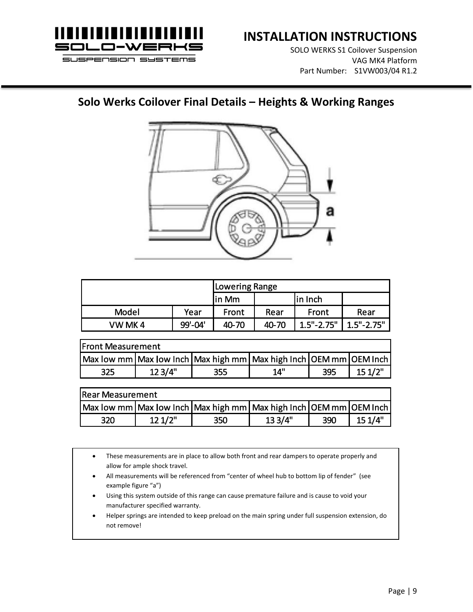

l

# **INSTALLATION INSTRUCTIONS**

SOLO WERKS S1 Coilover Suspension VAG MK4 Platform Part Number: S1VW003/04 R1.2

#### **Solo Werks Coilover Final Details – Heights & Working Ranges**



|        |         | <b>ILowering Range</b> |       |                |                |  |
|--------|---------|------------------------|-------|----------------|----------------|--|
|        |         | lin Mm                 |       | lin Inch       |                |  |
| Model  | Year    | <b>Front</b>           | Rear  | Front          | Rear           |  |
| VW MK4 | 99'-04' | 40-70                  | 40-70 | $1.5" - 2.75"$ | $1.5" - 2.75"$ |  |

| <b>Front Measurement</b>                                                    |         |     |       |     |        |  |  |
|-----------------------------------------------------------------------------|---------|-----|-------|-----|--------|--|--|
| Max low mm   Max low Inch   Max high mm   Max high Inch   OEM mm   OEM Inch |         |     |       |     |        |  |  |
| 325                                                                         | 12 3/4" | 355 | יי 14 | 395 | 151/2" |  |  |

| <b>Rear Measurement</b> |        |     |                                                                             |     |        |  |  |
|-------------------------|--------|-----|-----------------------------------------------------------------------------|-----|--------|--|--|
|                         |        |     | Max low mm   Max low Inch   Max high mm   Max high Inch   OEM mm   OEM Inch |     |        |  |  |
| 320                     | 121/2" | 350 | 133/4"                                                                      | 390 | 151/4" |  |  |

- These measurements are in place to allow both front and rear dampers to operate properly and allow for ample shock travel.
- All measurements will be referenced from "center of wheel hub to bottom lip of fender" (see example figure "a")
- Using this system outside of this range can cause premature failure and is cause to void your manufacturer specified warranty.
- Helper springs are intended to keep preload on the main spring under full suspension extension, do not remove!